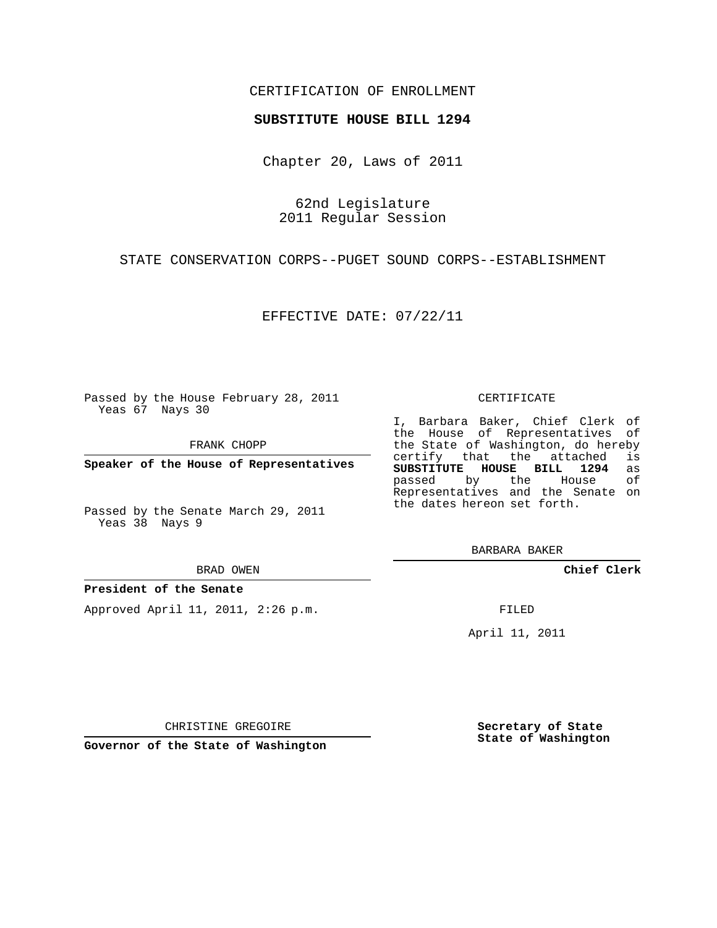### CERTIFICATION OF ENROLLMENT

### **SUBSTITUTE HOUSE BILL 1294**

Chapter 20, Laws of 2011

62nd Legislature 2011 Regular Session

STATE CONSERVATION CORPS--PUGET SOUND CORPS--ESTABLISHMENT

EFFECTIVE DATE: 07/22/11

Passed by the House February 28, 2011 Yeas 67 Nays 30

FRANK CHOPP

**Speaker of the House of Representatives**

Passed by the Senate March 29, 2011 Yeas 38 Nays 9

#### BRAD OWEN

### **President of the Senate**

Approved April 11, 2011, 2:26 p.m.

#### CERTIFICATE

I, Barbara Baker, Chief Clerk of the House of Representatives of the State of Washington, do hereby<br>certify that the attached is certify that the attached is<br>SUBSTITUTE HOUSE BILL 1294 as **SUBSTITUTE HOUSE BILL 1294** as passed by the House Representatives and the Senate on the dates hereon set forth.

BARBARA BAKER

**Chief Clerk**

FILED

April 11, 2011

CHRISTINE GREGOIRE

**Governor of the State of Washington**

**Secretary of State State of Washington**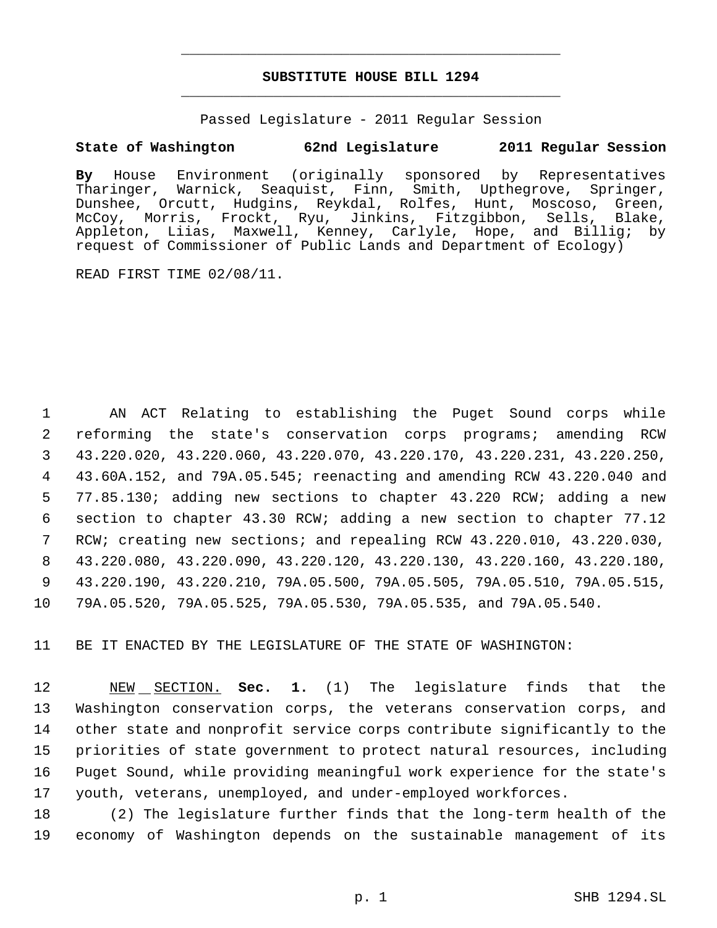# **SUBSTITUTE HOUSE BILL 1294** \_\_\_\_\_\_\_\_\_\_\_\_\_\_\_\_\_\_\_\_\_\_\_\_\_\_\_\_\_\_\_\_\_\_\_\_\_\_\_\_\_\_\_\_\_

\_\_\_\_\_\_\_\_\_\_\_\_\_\_\_\_\_\_\_\_\_\_\_\_\_\_\_\_\_\_\_\_\_\_\_\_\_\_\_\_\_\_\_\_\_

Passed Legislature - 2011 Regular Session

## **State of Washington 62nd Legislature 2011 Regular Session**

**By** House Environment (originally sponsored by Representatives Tharinger, Warnick, Seaquist, Finn, Smith, Upthegrove, Springer, Dunshee, Orcutt, Hudgins, Reykdal, Rolfes, Hunt, Moscoso, Green,<br>McCoy, Morris, Frockt, Ryu, Jinkins, Fitzgibbon, Sells, Blake, McCoy, Morris, Frockt, Ryu, Jinkins, Fitzgibbon, Appleton, Liias, Maxwell, Kenney, Carlyle, Hope, and Billig; by request of Commissioner of Public Lands and Department of Ecology)

READ FIRST TIME 02/08/11.

 AN ACT Relating to establishing the Puget Sound corps while reforming the state's conservation corps programs; amending RCW 43.220.020, 43.220.060, 43.220.070, 43.220.170, 43.220.231, 43.220.250, 43.60A.152, and 79A.05.545; reenacting and amending RCW 43.220.040 and 77.85.130; adding new sections to chapter 43.220 RCW; adding a new section to chapter 43.30 RCW; adding a new section to chapter 77.12 RCW; creating new sections; and repealing RCW 43.220.010, 43.220.030, 43.220.080, 43.220.090, 43.220.120, 43.220.130, 43.220.160, 43.220.180, 43.220.190, 43.220.210, 79A.05.500, 79A.05.505, 79A.05.510, 79A.05.515, 79A.05.520, 79A.05.525, 79A.05.530, 79A.05.535, and 79A.05.540.

11 BE IT ENACTED BY THE LEGISLATURE OF THE STATE OF WASHINGTON:

 NEW SECTION. **Sec. 1.** (1) The legislature finds that the Washington conservation corps, the veterans conservation corps, and other state and nonprofit service corps contribute significantly to the priorities of state government to protect natural resources, including Puget Sound, while providing meaningful work experience for the state's youth, veterans, unemployed, and under-employed workforces.

18 (2) The legislature further finds that the long-term health of the 19 economy of Washington depends on the sustainable management of its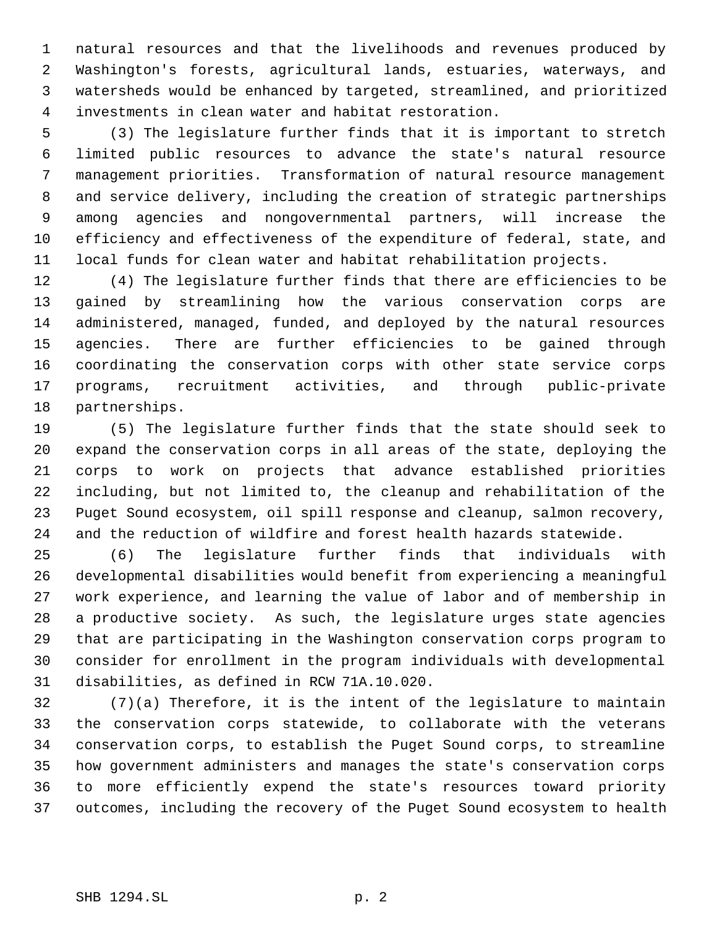natural resources and that the livelihoods and revenues produced by Washington's forests, agricultural lands, estuaries, waterways, and watersheds would be enhanced by targeted, streamlined, and prioritized investments in clean water and habitat restoration.

 (3) The legislature further finds that it is important to stretch limited public resources to advance the state's natural resource management priorities. Transformation of natural resource management and service delivery, including the creation of strategic partnerships among agencies and nongovernmental partners, will increase the efficiency and effectiveness of the expenditure of federal, state, and local funds for clean water and habitat rehabilitation projects.

 (4) The legislature further finds that there are efficiencies to be gained by streamlining how the various conservation corps are administered, managed, funded, and deployed by the natural resources agencies. There are further efficiencies to be gained through coordinating the conservation corps with other state service corps programs, recruitment activities, and through public-private partnerships.

 (5) The legislature further finds that the state should seek to expand the conservation corps in all areas of the state, deploying the corps to work on projects that advance established priorities including, but not limited to, the cleanup and rehabilitation of the Puget Sound ecosystem, oil spill response and cleanup, salmon recovery, and the reduction of wildfire and forest health hazards statewide.

 (6) The legislature further finds that individuals with developmental disabilities would benefit from experiencing a meaningful work experience, and learning the value of labor and of membership in a productive society. As such, the legislature urges state agencies that are participating in the Washington conservation corps program to consider for enrollment in the program individuals with developmental disabilities, as defined in RCW 71A.10.020.

 (7)(a) Therefore, it is the intent of the legislature to maintain the conservation corps statewide, to collaborate with the veterans conservation corps, to establish the Puget Sound corps, to streamline how government administers and manages the state's conservation corps to more efficiently expend the state's resources toward priority outcomes, including the recovery of the Puget Sound ecosystem to health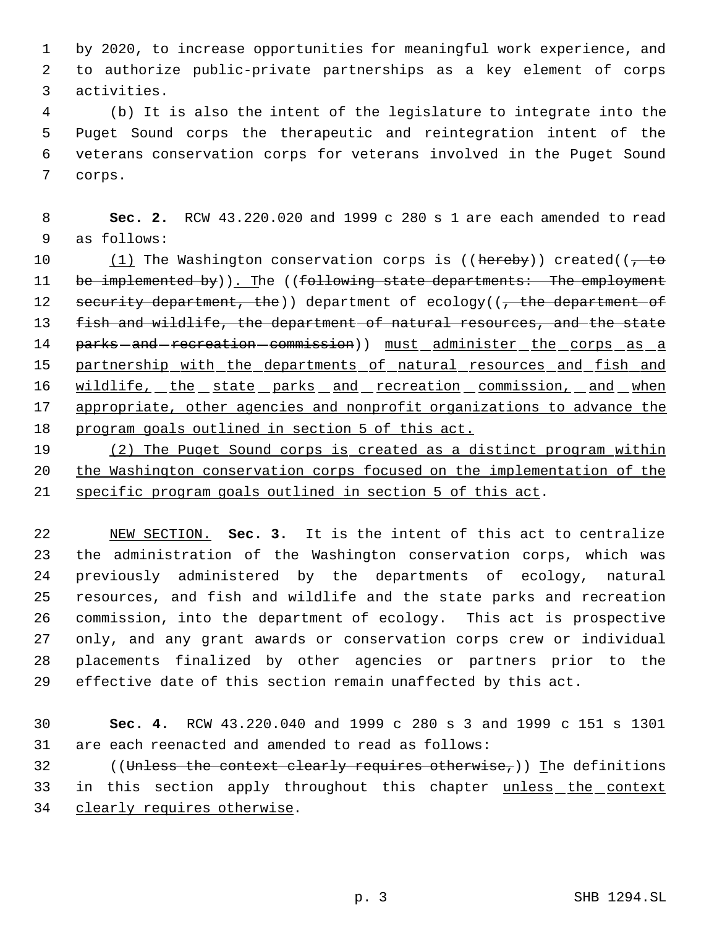by 2020, to increase opportunities for meaningful work experience, and to authorize public-private partnerships as a key element of corps activities.

 (b) It is also the intent of the legislature to integrate into the Puget Sound corps the therapeutic and reintegration intent of the veterans conservation corps for veterans involved in the Puget Sound corps.

 **Sec. 2.** RCW 43.220.020 and 1999 c 280 s 1 are each amended to read as follows:

10  $(1)$  The Washington conservation corps is ((hereby)) created(( $\frac{1}{1}$  to 11 be implemented by)). The ((following state departments: The employment 12 security department, the)) department of ecology((, the department of 13 fish and wildlife, the department of natural resources, and the state 14 parks-and-recreation-commission)) must administer the corps as a 15 partnership with the departments of natural resources and fish and 16 wildlife, the state parks and recreation commission, and when 17 appropriate, other agencies and nonprofit organizations to advance the program goals outlined in section 5 of this act.

19 (2) The Puget Sound corps is created as a distinct program within the Washington conservation corps focused on the implementation of the specific program goals outlined in section 5 of this act.

 NEW SECTION. **Sec. 3.** It is the intent of this act to centralize the administration of the Washington conservation corps, which was previously administered by the departments of ecology, natural resources, and fish and wildlife and the state parks and recreation commission, into the department of ecology. This act is prospective only, and any grant awards or conservation corps crew or individual placements finalized by other agencies or partners prior to the effective date of this section remain unaffected by this act.

 **Sec. 4.** RCW 43.220.040 and 1999 c 280 s 3 and 1999 c 151 s 1301 are each reenacted and amended to read as follows:

32 ((Unless the context clearly requires otherwise,)) The definitions in this section apply throughout this chapter unless the context 34 clearly requires otherwise.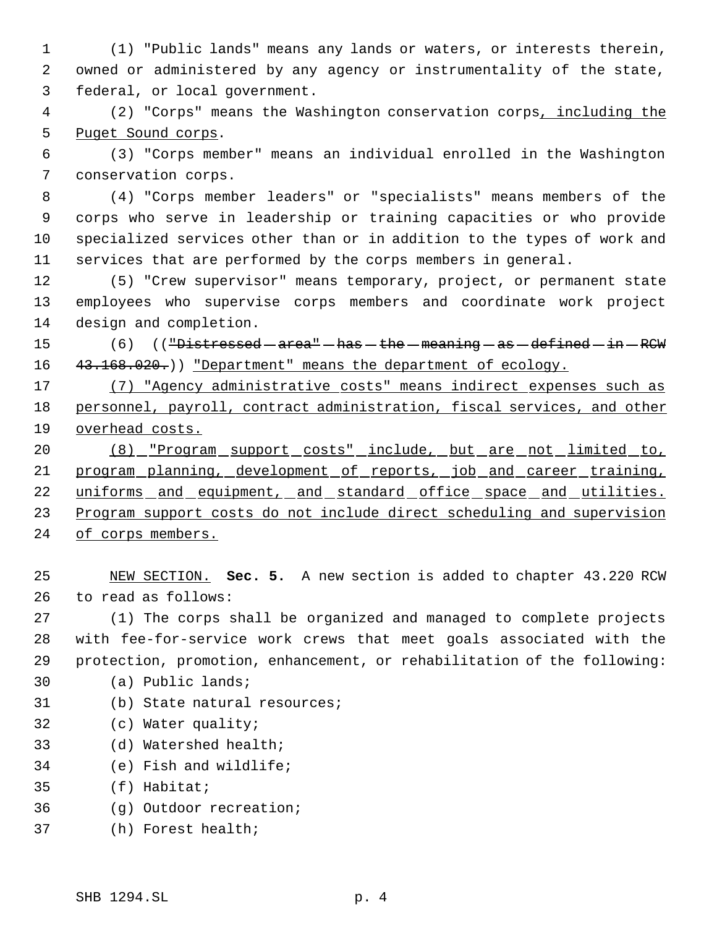(1) "Public lands" means any lands or waters, or interests therein, owned or administered by any agency or instrumentality of the state, federal, or local government.

 (2) "Corps" means the Washington conservation corps, including the 5 Puget Sound corps.

 (3) "Corps member" means an individual enrolled in the Washington conservation corps.

 (4) "Corps member leaders" or "specialists" means members of the corps who serve in leadership or training capacities or who provide specialized services other than or in addition to the types of work and services that are performed by the corps members in general.

 (5) "Crew supervisor" means temporary, project, or permanent state employees who supervise corps members and coordinate work project design and completion.

15 (6) (("Distressed - area" - has - the - meaning - as - defined - in - RCW 16 43.168.020.)) "Department" means the department of ecology.

 (7) "Agency administrative costs" means indirect expenses such as personnel, payroll, contract administration, fiscal services, and other overhead costs.

 (8) "Program support costs" include, but are not limited to, 21 program planning, development of reports, job and career training, 22 uniforms and equipment, and standard office space and utilities. 23 Program support costs do not include direct scheduling and supervision of corps members.

 NEW SECTION. **Sec. 5.** A new section is added to chapter 43.220 RCW to read as follows:

 (1) The corps shall be organized and managed to complete projects with fee-for-service work crews that meet goals associated with the protection, promotion, enhancement, or rehabilitation of the following:

(a) Public lands;

- (b) State natural resources;
- (c) Water quality;
- (d) Watershed health;
- (e) Fish and wildlife;
- (f) Habitat;
- (g) Outdoor recreation;
- (h) Forest health;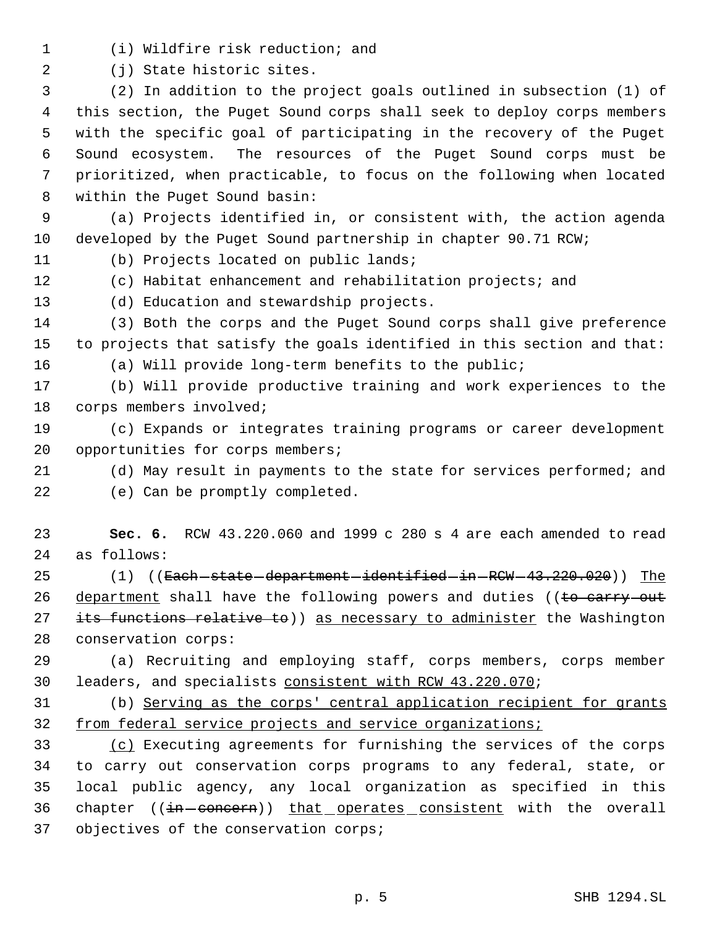(i) Wildfire risk reduction; and

(j) State historic sites.

 (2) In addition to the project goals outlined in subsection (1) of this section, the Puget Sound corps shall seek to deploy corps members with the specific goal of participating in the recovery of the Puget Sound ecosystem. The resources of the Puget Sound corps must be prioritized, when practicable, to focus on the following when located within the Puget Sound basin:

 (a) Projects identified in, or consistent with, the action agenda developed by the Puget Sound partnership in chapter 90.71 RCW;

(b) Projects located on public lands;

(c) Habitat enhancement and rehabilitation projects; and

(d) Education and stewardship projects.

 (3) Both the corps and the Puget Sound corps shall give preference to projects that satisfy the goals identified in this section and that:

(a) Will provide long-term benefits to the public;

 (b) Will provide productive training and work experiences to the corps members involved;

 (c) Expands or integrates training programs or career development 20 opportunities for corps members;

- (d) May result in payments to the state for services performed; and
- (e) Can be promptly completed.

 **Sec. 6.** RCW 43.220.060 and 1999 c 280 s 4 are each amended to read as follows:

25 (1) ((<del>Each state department identified in RCW 43.220.020</del>)) The 26 department shall have the following powers and duties ((to carry out 27 its functions relative to)) as necessary to administer the Washington conservation corps:

 (a) Recruiting and employing staff, corps members, corps member leaders, and specialists consistent with RCW 43.220.070;

 (b) Serving as the corps' central application recipient for grants from federal service projects and service organizations;

 (c) Executing agreements for furnishing the services of the corps to carry out conservation corps programs to any federal, state, or local public agency, any local organization as specified in this 36 chapter ((in-concern)) that operates consistent with the overall objectives of the conservation corps;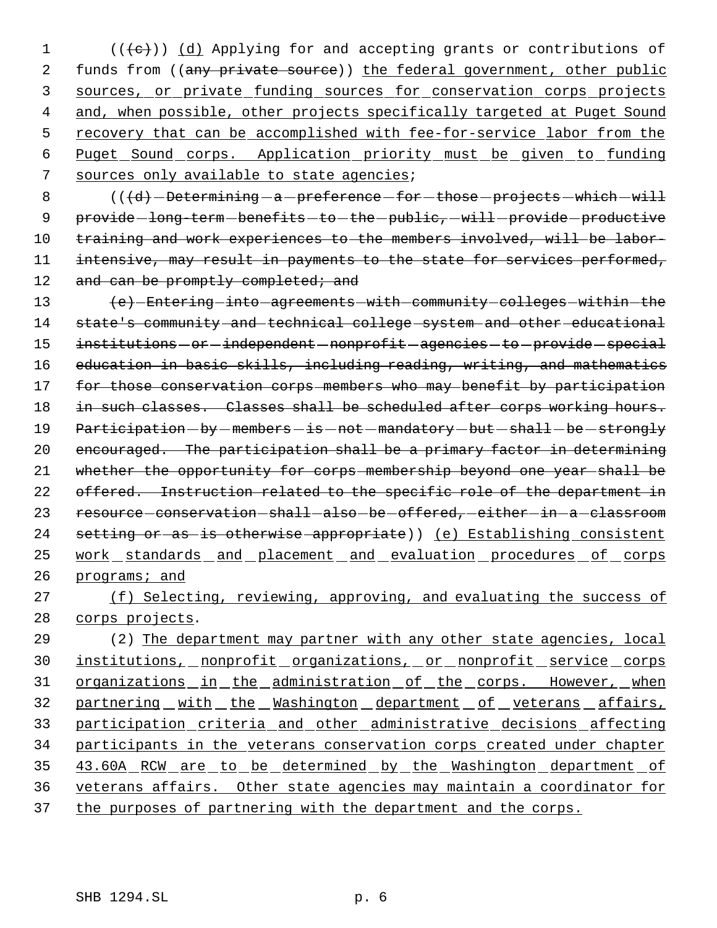$1$  (( $\langle e \rangle$ )) (d) Applying for and accepting grants or contributions of 2 funds from ((any private source)) the federal government, other public 3 sources, or private funding sources for conservation corps projects 4 and, when possible, other projects specifically targeted at Puget Sound 5 recovery that can be accomplished with fee-for-service labor from the 6 Puget Sound corps. Application priority must be given to funding 7 sources only available to state agencies;

8  $($   $( $d$ )$  - Determining - a - preference - for - those - projects - which - will 9 provide-long-term-benefits-to-the-public, will provide productive 10 training and work experiences to the members involved, will be labor-11 intensive, may result in payments to the state for services performed, 12 and can be promptly completed; and

13 (e) Entering into agreements with community colleges within the 14 state's community and technical college system and other educational 15 institutions - or -independent - nonprofit - agencies - to - provide - special 16 education in basic skills, including reading, writing, and mathematics 17 for those conservation corps members who may benefit by participation 18 in such classes. Classes shall be scheduled after corps working hours. 19 Participation-by-members-is-not-mandatory-but-shall-be-strongly 20 encouraged. The participation shall be a primary factor in determining 21 whether the opportunity for corps membership beyond one year shall be 22 offered. Instruction related to the specific role of the department in 23 resource-conservation-shall-also-be-offered,-either-in-a-classroom 24 setting or as is otherwise appropriate)) (e) Establishing consistent 25 work standards and placement and evaluation procedures of corps 26 programs; and

27 (f) Selecting, reviewing, approving, and evaluating the success of 28 corps projects.

29 (2) The department may partner with any other state agencies, local 30 institutions, nonprofit organizations, or nonprofit service corps 31 organizations in the administration of the corps. However, when 32 partnering with the Washington department of veterans affairs, 33 participation criteria and other administrative decisions affecting 34 participants in the veterans conservation corps created under chapter 35 43.60A RCW are to be determined by the Washington department of 36 veterans affairs. Other state agencies may maintain a coordinator for 37 the purposes of partnering with the department and the corps.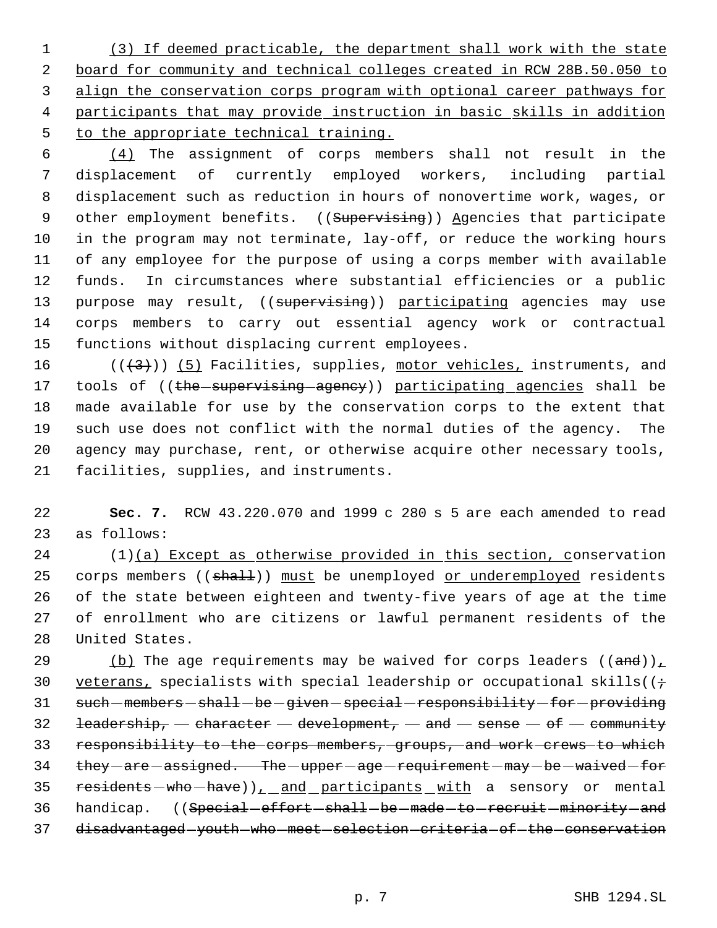(3) If deemed practicable, the department shall work with the state board for community and technical colleges created in RCW 28B.50.050 to align the conservation corps program with optional career pathways for participants that may provide instruction in basic skills in addition to the appropriate technical training.

 $\frac{(4)}{10}$  The assignment of corps members shall not result in the displacement of currently employed workers, including partial displacement such as reduction in hours of nonovertime work, wages, or 9 other employment benefits. ((Supervising)) Agencies that participate in the program may not terminate, lay-off, or reduce the working hours of any employee for the purpose of using a corps member with available funds. In circumstances where substantial efficiencies or a public 13 purpose may result, ((supervising)) participating agencies may use corps members to carry out essential agency work or contractual functions without displacing current employees.

 $((+3))$  (5) Facilities, supplies, motor vehicles, instruments, and 17 tools of ((the supervising agency)) participating agencies shall be made available for use by the conservation corps to the extent that such use does not conflict with the normal duties of the agency. The agency may purchase, rent, or otherwise acquire other necessary tools, facilities, supplies, and instruments.

22 **Sec. 7.** RCW 43.220.070 and 1999 c 280 s 5 are each amended to read 23 as follows:

 (1)(a) Except as otherwise provided in this section, conservation 25 corps members ((shall)) must be unemployed or underemployed residents of the state between eighteen and twenty-five years of age at the time of enrollment who are citizens or lawful permanent residents of the United States.

29 (b) The age requirements may be waived for corps leaders  $((and))_+$ 30 veterans, specialists with special leadership or occupational skills ( $\left(i+1\right)$ 31 such-members-shall-be-given-special-responsibility-for-providing 32 leadership,  $-$  character  $-$  development,  $-$  and  $-$  sense  $-$  of  $-$  community 33 responsibility to the corps members, groups, and work crews to which 34 they - are - assigned. The - upper - age - requirement - may - be - waived - for 35 residents - who - have)), and participants with a sensory or mental 36 handicap. ((Special-effort-shall-be-made-to-recruit-minority-and 37 disadvantaged-youth-who-meet-selection-criteria-of-the-conservation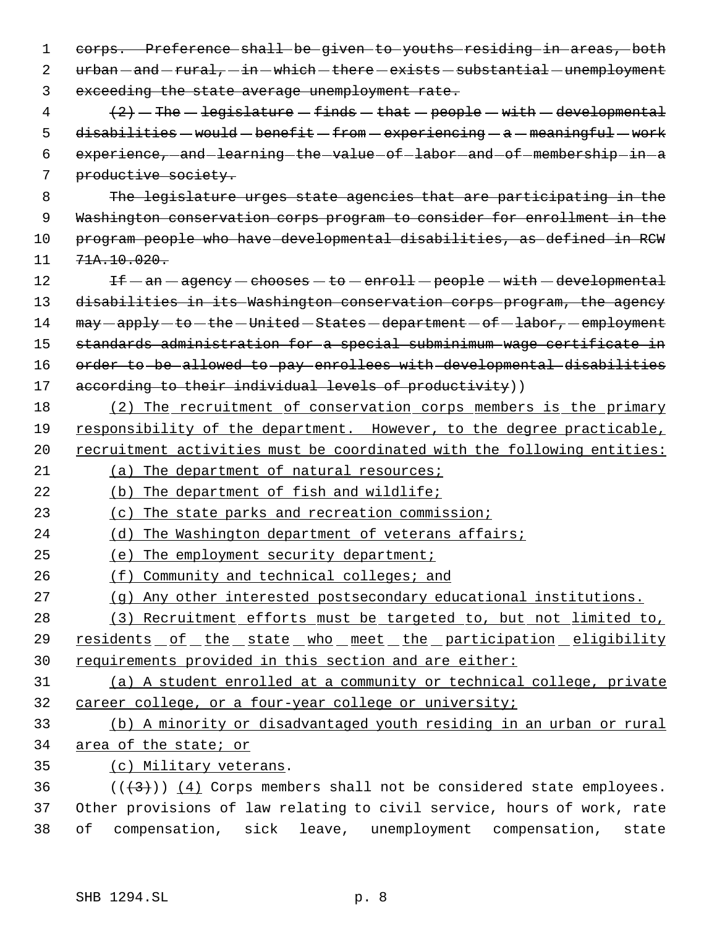corps. Preference shall be given to youths residing in areas, both  $urban - and -rural, -in - which - there - exists - substantial -unemblovment$ exceeding the state average unemployment rate.

 $\left\{4\right\}$   $\left\{2\right\}$  - The - legislature - finds - that - people - with - developmental 5 disabilities  $-$  would  $-$  benefit  $-$  from  $-$  experiencing  $-$  a  $-$  meaningful  $-$  work 6 experience, and learning the value of labor and of membership in a productive society.

 The legislature urges state agencies that are participating in the Washington conservation corps program to consider for enrollment in the program people who have developmental disabilities, as defined in RCW  $11 \quad 71 \text{A}$ ,  $10 \cdot 020$ .

12 If  $-$  an  $-$  agency  $-$  chooses  $-$  to  $-$  enroll  $-$  people  $-$  with  $-$  developmental 13 disabilities in its Washington conservation corps program, the agency 14  $may - apply - to - the - United - States - department - of - labor, - employment$  standards administration for a special subminimum wage certificate in order to be allowed to pay enrollees with developmental disabilities 17 according to their individual levels of productivity))

 (2) The recruitment of conservation corps members is the primary responsibility of the department. However, to the degree practicable, 20 recruitment activities must be coordinated with the following entities:

21 (a) The department of natural resources;

(b) The department of fish and wildlife;

(c) The state parks and recreation commission;

(d) The Washington department of veterans affairs;

(e) The employment security department;

- 26 (f) Community and technical colleges; and
- (g) Any other interested postsecondary educational institutions.
- (3) Recruitment efforts must be targeted to, but not limited to, 29 residents of the state who meet the participation eligibility requirements provided in this section and are either:
- 

 (a) A student enrolled at a community or technical college, private career college, or a four-year college or university;

 (b) A minority or disadvantaged youth residing in an urban or rural area of the state; or

(c) Military veterans.

36  $((\langle 3 \rangle)(4)$  Corps members shall not be considered state employees. Other provisions of law relating to civil service, hours of work, rate of compensation, sick leave, unemployment compensation, state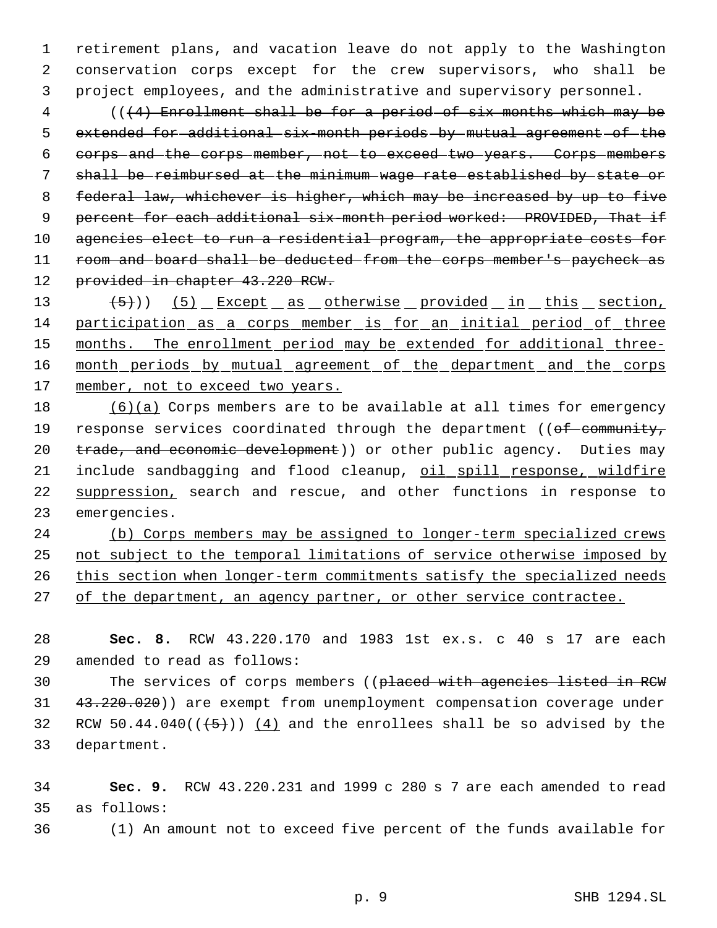1 retirement plans, and vacation leave do not apply to the Washington 2 conservation corps except for the crew supervisors, who shall be 3 project employees, and the administrative and supervisory personnel.

 4 (((4) Enrollment shall be for a period of six months which may be 5 extended for additional six month periods by mutual agreement of the 6 corps and the corps member, not to exceed two years. Corps members 7 shall be reimbursed at the minimum wage rate established by state or 8 federal law, whichever is higher, which may be increased by up to five 9 percent for each additional six-month period worked: PROVIDED, That if 10 agencies elect to run a residential program, the appropriate costs for 11 room and board shall be deducted from the corps member's paycheck as 12 provided in chapter 43.220 RCW.

13 (5)) (5) Except as otherwise provided in this section, 14 participation as a corps member is for an initial period of three 15 months. The enrollment period may be extended for additional three-16 month periods by mutual agreement of the department and the corps 17 member, not to exceed two years.

18 (6)(a) Corps members are to be available at all times for emergency 19 response services coordinated through the department ((of community, 20 trade, and economic development)) or other public agency. Duties may 21 include sandbagging and flood cleanup, oil spill response, wildfire 22 suppression, search and rescue, and other functions in response to 23 emergencies.

24 (b) Corps members may be assigned to longer-term specialized crews 25 not subject to the temporal limitations of service otherwise imposed by 26 this section when longer-term commitments satisfy the specialized needs 27 of the department, an agency partner, or other service contractee.

28 **Sec. 8.** RCW 43.220.170 and 1983 1st ex.s. c 40 s 17 are each 29 amended to read as follows:

30 The services of corps members ((placed with agencies listed in RCW 31 43.220.020)) are exempt from unemployment compensation coverage under 32 RCW 50.44.040 $((+5))$   $(4)$  and the enrollees shall be so advised by the 33 department.

34 **Sec. 9.** RCW 43.220.231 and 1999 c 280 s 7 are each amended to read 35 as follows:

36 (1) An amount not to exceed five percent of the funds available for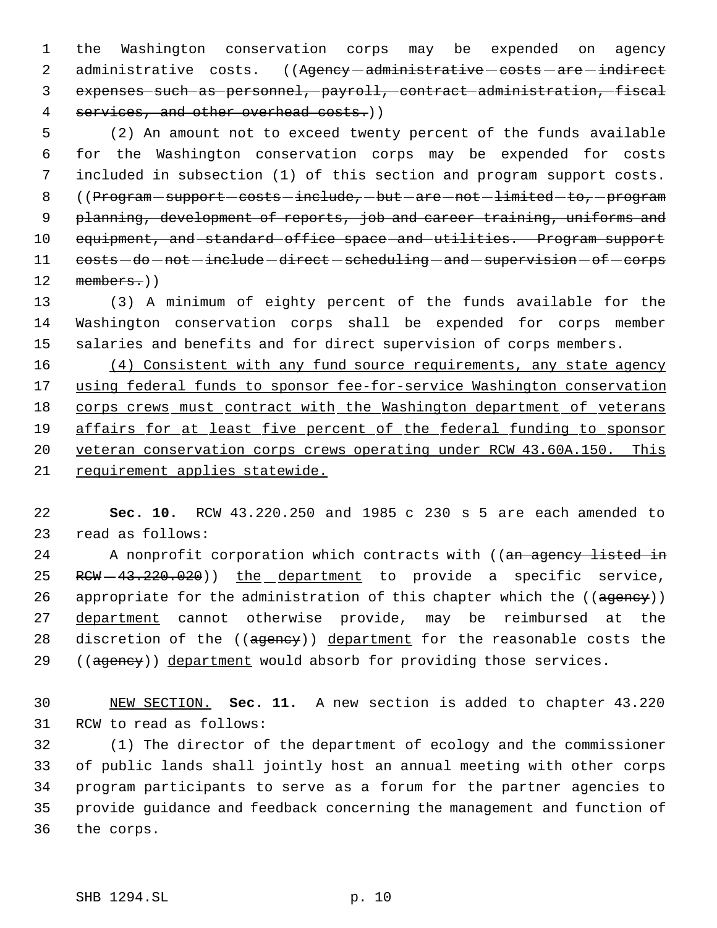1 the Washington conservation corps may be expended on agency 2 administrative costs. ((Agency-administrative-costs-are-indirect 3 expenses such as personnel, payroll, contract administration, fiscal 4 services, and other overhead costs.))

 5 (2) An amount not to exceed twenty percent of the funds available 6 for the Washington conservation corps may be expended for costs 7 included in subsection (1) of this section and program support costs. 8 ((Program - support - costs - include, - but - are - not - limited - to, - program 9 planning, development of reports, job and career training, uniforms and 10 equipment, and standard office space and utilities. Program support 11 costs - do - not - include - direct - scheduling - and - supervision - of - corps 12 members.))

13 (3) A minimum of eighty percent of the funds available for the 14 Washington conservation corps shall be expended for corps member 15 salaries and benefits and for direct supervision of corps members.

16 (4) Consistent with any fund source requirements, any state agency using federal funds to sponsor fee-for-service Washington conservation corps crews must contract with the Washington department of veterans 19 affairs for at least five percent of the federal funding to sponsor veteran conservation corps crews operating under RCW 43.60A.150. This requirement applies statewide.

22 **Sec. 10.** RCW 43.220.250 and 1985 c 230 s 5 are each amended to 23 read as follows:

24 A nonprofit corporation which contracts with ((an agency listed in 25 RCW - 43.220.020)) the department to provide a specific service, 26 appropriate for the administration of this chapter which the ((ageney)) 27 department cannot otherwise provide, may be reimbursed at the 28 discretion of the ((ageney)) department for the reasonable costs the 29 ((agency)) department would absorb for providing those services.

30 NEW SECTION. **Sec. 11.** A new section is added to chapter 43.220 31 RCW to read as follows:

 (1) The director of the department of ecology and the commissioner of public lands shall jointly host an annual meeting with other corps program participants to serve as a forum for the partner agencies to provide guidance and feedback concerning the management and function of the corps.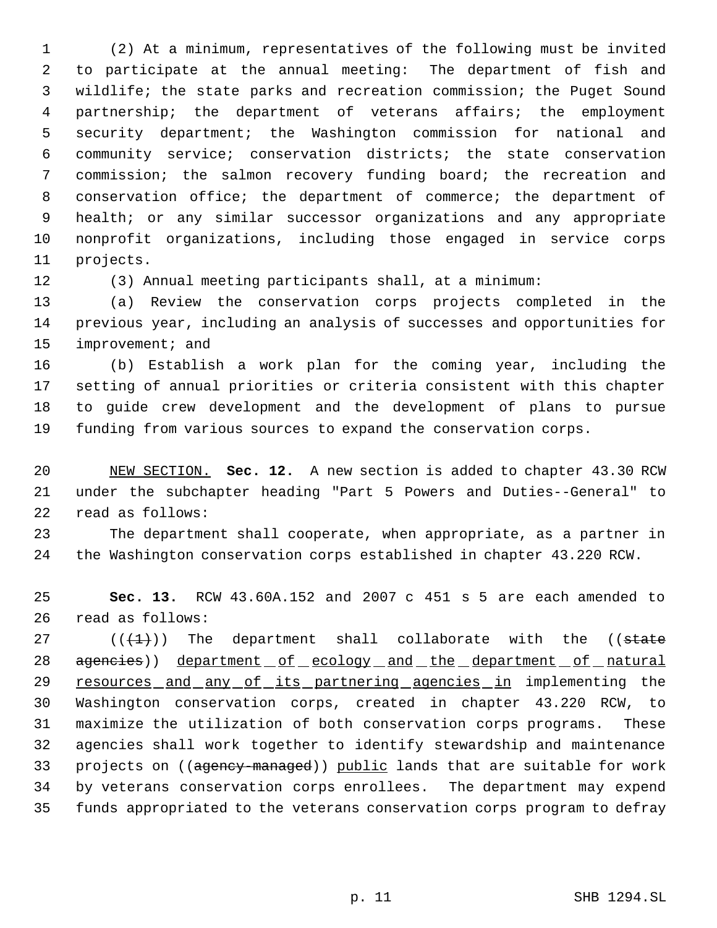(2) At a minimum, representatives of the following must be invited to participate at the annual meeting: The department of fish and wildlife; the state parks and recreation commission; the Puget Sound partnership; the department of veterans affairs; the employment security department; the Washington commission for national and community service; conservation districts; the state conservation commission; the salmon recovery funding board; the recreation and conservation office; the department of commerce; the department of health; or any similar successor organizations and any appropriate nonprofit organizations, including those engaged in service corps projects.

(3) Annual meeting participants shall, at a minimum:

 (a) Review the conservation corps projects completed in the previous year, including an analysis of successes and opportunities for 15 improvement; and

 (b) Establish a work plan for the coming year, including the setting of annual priorities or criteria consistent with this chapter to guide crew development and the development of plans to pursue funding from various sources to expand the conservation corps.

 NEW SECTION. **Sec. 12.** A new section is added to chapter 43.30 RCW under the subchapter heading "Part 5 Powers and Duties--General" to read as follows:

 The department shall cooperate, when appropriate, as a partner in the Washington conservation corps established in chapter 43.220 RCW.

 **Sec. 13.** RCW 43.60A.152 and 2007 c 451 s 5 are each amended to read as follows:

 $((+1))$  The department shall collaborate with the ((state 28 agencies)) department of ecology and the department of natural 29 resources and any of its partnering agencies in implementing the Washington conservation corps, created in chapter 43.220 RCW, to maximize the utilization of both conservation corps programs. These agencies shall work together to identify stewardship and maintenance 33 projects on ((agency-managed)) public lands that are suitable for work by veterans conservation corps enrollees. The department may expend funds appropriated to the veterans conservation corps program to defray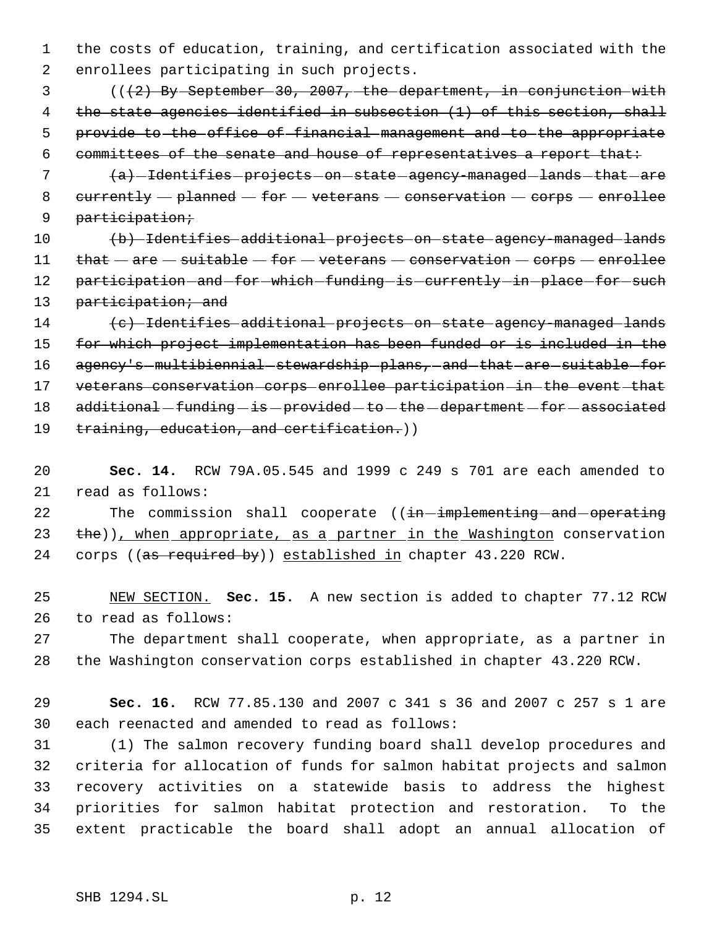the costs of education, training, and certification associated with the enrollees participating in such projects.

 ( $(\frac{2}{2})$  By September 30, 2007, the department, in conjunction with 4 the state agencies identified in subsection (1) of this section, shall provide to the office of financial management and to the appropriate committees of the senate and house of representatives a report that:

7 (a) -Identifies - projects - on - state - agency-managed - lands - that - are 8  $currenty - planned - for - vectors - conservation - corps - enriched$ participation;

 (b) Identifies additional projects on state agency-managed lands 11 that  $-$  are  $-$  suitable  $-$  for  $-$  veterans  $-$  conservation  $-$  corps  $-$  enrollee 12 participation and for which funding is currently in place for such 13 participation; and

 (c) Identifies additional projects on state agency-managed lands for which project implementation has been funded or is included in the 16 agency's multibiennial stewardship plans, and that are suitable for 17 veterans conservation corps enrollee participation in the event that 18 additional - funding - is - provided - to - the - department - for - associated 19 training, education, and certification.))

 **Sec. 14.** RCW 79A.05.545 and 1999 c 249 s 701 are each amended to read as follows:

22 The commission shall cooperate ((in-implementing-and-operating 23 the)), when appropriate, as a partner in the Washington conservation 24 corps ((as required by)) established in chapter 43.220 RCW.

 NEW SECTION. **Sec. 15.** A new section is added to chapter 77.12 RCW to read as follows:

 The department shall cooperate, when appropriate, as a partner in the Washington conservation corps established in chapter 43.220 RCW.

 **Sec. 16.** RCW 77.85.130 and 2007 c 341 s 36 and 2007 c 257 s 1 are each reenacted and amended to read as follows:

 (1) The salmon recovery funding board shall develop procedures and criteria for allocation of funds for salmon habitat projects and salmon recovery activities on a statewide basis to address the highest priorities for salmon habitat protection and restoration. To the extent practicable the board shall adopt an annual allocation of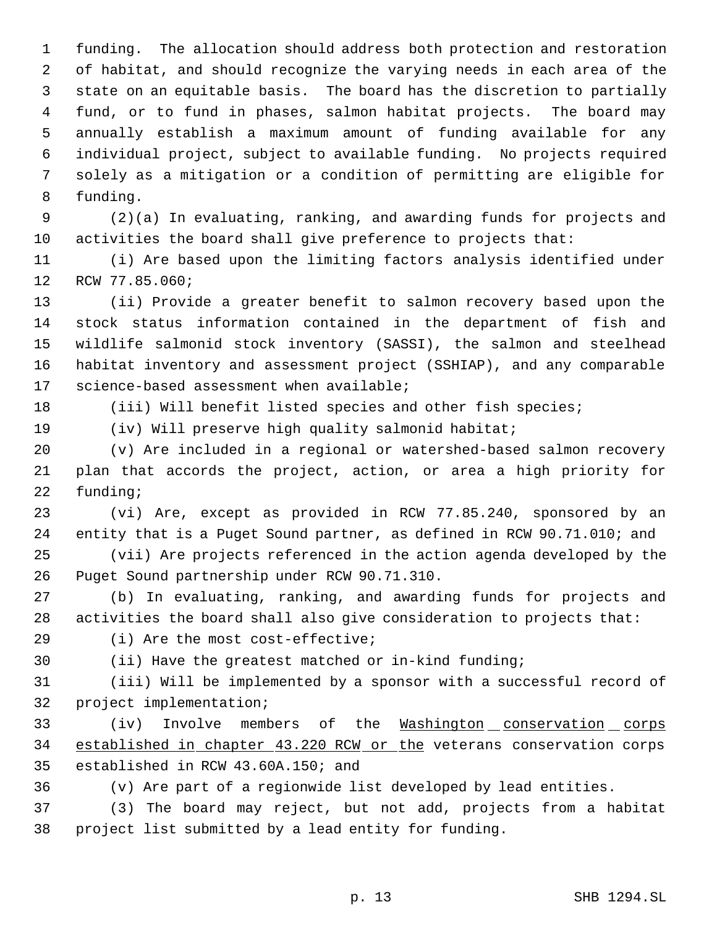funding. The allocation should address both protection and restoration of habitat, and should recognize the varying needs in each area of the state on an equitable basis. The board has the discretion to partially fund, or to fund in phases, salmon habitat projects. The board may annually establish a maximum amount of funding available for any individual project, subject to available funding. No projects required solely as a mitigation or a condition of permitting are eligible for funding.

 (2)(a) In evaluating, ranking, and awarding funds for projects and activities the board shall give preference to projects that:

 (i) Are based upon the limiting factors analysis identified under RCW 77.85.060;

 (ii) Provide a greater benefit to salmon recovery based upon the stock status information contained in the department of fish and wildlife salmonid stock inventory (SASSI), the salmon and steelhead habitat inventory and assessment project (SSHIAP), and any comparable science-based assessment when available;

(iii) Will benefit listed species and other fish species;

(iv) Will preserve high quality salmonid habitat;

 (v) Are included in a regional or watershed-based salmon recovery plan that accords the project, action, or area a high priority for funding;

 (vi) Are, except as provided in RCW 77.85.240, sponsored by an entity that is a Puget Sound partner, as defined in RCW 90.71.010; and

 (vii) Are projects referenced in the action agenda developed by the Puget Sound partnership under RCW 90.71.310.

 (b) In evaluating, ranking, and awarding funds for projects and activities the board shall also give consideration to projects that:

(i) Are the most cost-effective;

(ii) Have the greatest matched or in-kind funding;

 (iii) Will be implemented by a sponsor with a successful record of project implementation;

33 (iv) Involve members of the Washington conservation corps 34 established in chapter 43.220 RCW or the veterans conservation corps established in RCW 43.60A.150; and

(v) Are part of a regionwide list developed by lead entities.

 (3) The board may reject, but not add, projects from a habitat project list submitted by a lead entity for funding.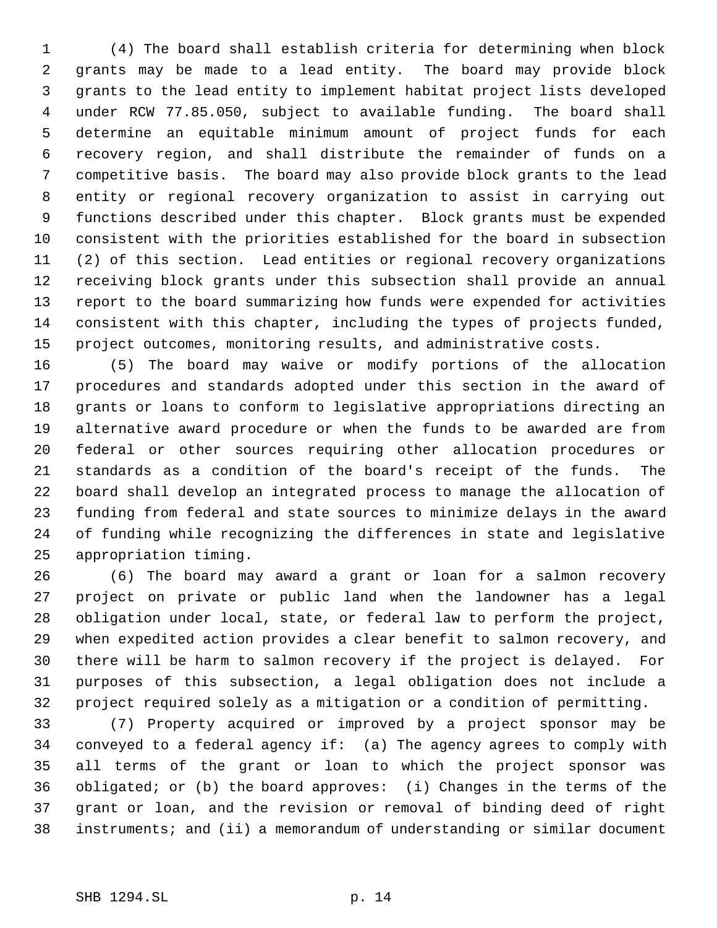(4) The board shall establish criteria for determining when block grants may be made to a lead entity. The board may provide block grants to the lead entity to implement habitat project lists developed under RCW 77.85.050, subject to available funding. The board shall determine an equitable minimum amount of project funds for each recovery region, and shall distribute the remainder of funds on a competitive basis. The board may also provide block grants to the lead entity or regional recovery organization to assist in carrying out functions described under this chapter. Block grants must be expended consistent with the priorities established for the board in subsection (2) of this section. Lead entities or regional recovery organizations receiving block grants under this subsection shall provide an annual report to the board summarizing how funds were expended for activities consistent with this chapter, including the types of projects funded, project outcomes, monitoring results, and administrative costs.

 (5) The board may waive or modify portions of the allocation procedures and standards adopted under this section in the award of grants or loans to conform to legislative appropriations directing an alternative award procedure or when the funds to be awarded are from federal or other sources requiring other allocation procedures or standards as a condition of the board's receipt of the funds. The board shall develop an integrated process to manage the allocation of funding from federal and state sources to minimize delays in the award of funding while recognizing the differences in state and legislative appropriation timing.

 (6) The board may award a grant or loan for a salmon recovery project on private or public land when the landowner has a legal obligation under local, state, or federal law to perform the project, when expedited action provides a clear benefit to salmon recovery, and there will be harm to salmon recovery if the project is delayed. For purposes of this subsection, a legal obligation does not include a project required solely as a mitigation or a condition of permitting.

 (7) Property acquired or improved by a project sponsor may be conveyed to a federal agency if: (a) The agency agrees to comply with all terms of the grant or loan to which the project sponsor was obligated; or (b) the board approves: (i) Changes in the terms of the grant or loan, and the revision or removal of binding deed of right instruments; and (ii) a memorandum of understanding or similar document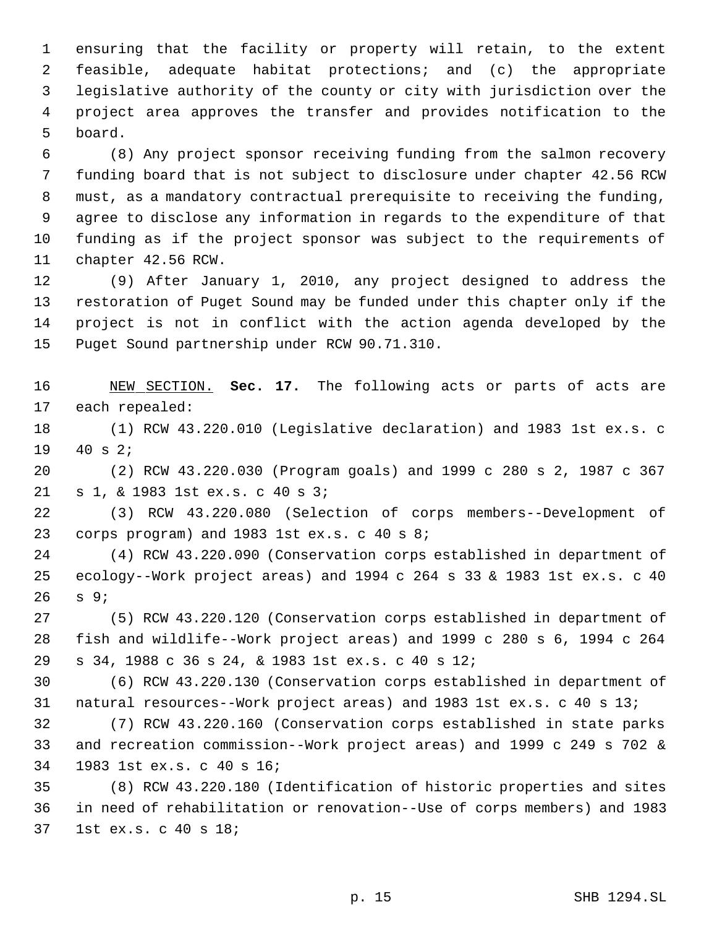ensuring that the facility or property will retain, to the extent feasible, adequate habitat protections; and (c) the appropriate legislative authority of the county or city with jurisdiction over the project area approves the transfer and provides notification to the board.

 (8) Any project sponsor receiving funding from the salmon recovery funding board that is not subject to disclosure under chapter 42.56 RCW must, as a mandatory contractual prerequisite to receiving the funding, agree to disclose any information in regards to the expenditure of that funding as if the project sponsor was subject to the requirements of chapter 42.56 RCW.

 (9) After January 1, 2010, any project designed to address the restoration of Puget Sound may be funded under this chapter only if the project is not in conflict with the action agenda developed by the Puget Sound partnership under RCW 90.71.310.

 NEW SECTION. **Sec. 17.** The following acts or parts of acts are each repealed:

 (1) RCW 43.220.010 (Legislative declaration) and 1983 1st ex.s. c 40 s 2;

 (2) RCW 43.220.030 (Program goals) and 1999 c 280 s 2, 1987 c 367 s 1, & 1983 1st ex.s. c 40 s 3;

 (3) RCW 43.220.080 (Selection of corps members--Development of corps program) and 1983 1st ex.s. c 40 s 8;

 (4) RCW 43.220.090 (Conservation corps established in department of ecology--Work project areas) and 1994 c 264 s 33 & 1983 1st ex.s. c 40 s 9;

 (5) RCW 43.220.120 (Conservation corps established in department of fish and wildlife--Work project areas) and 1999 c 280 s 6, 1994 c 264 s 34, 1988 c 36 s 24, & 1983 1st ex.s. c 40 s 12;

 (6) RCW 43.220.130 (Conservation corps established in department of natural resources--Work project areas) and 1983 1st ex.s. c 40 s 13;

 (7) RCW 43.220.160 (Conservation corps established in state parks and recreation commission--Work project areas) and 1999 c 249 s 702 & 1983 1st ex.s. c 40 s 16;

 (8) RCW 43.220.180 (Identification of historic properties and sites in need of rehabilitation or renovation--Use of corps members) and 1983 1st ex.s. c 40 s 18;